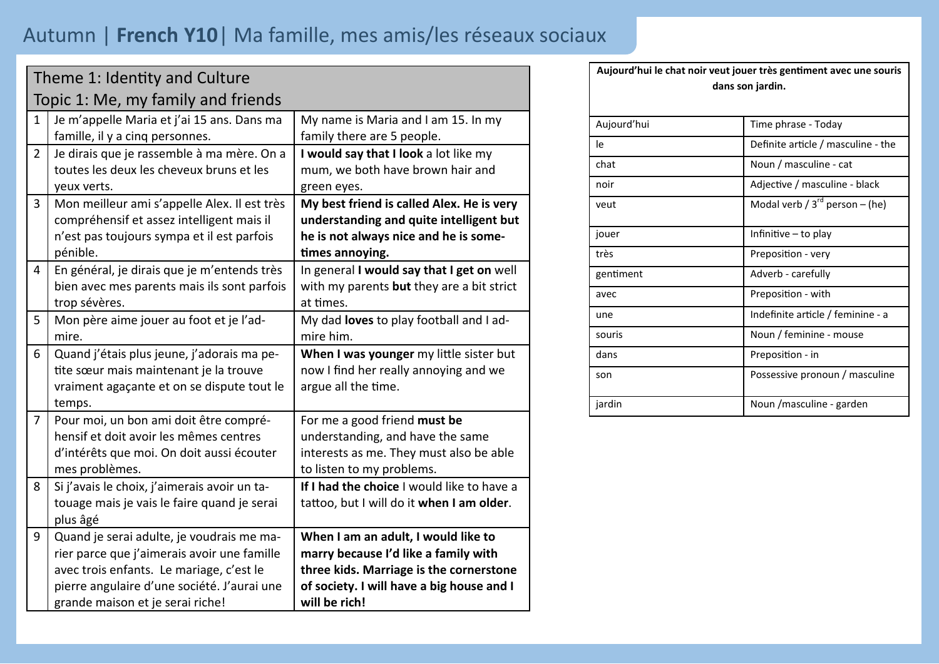## Autumn | **French Y10**| Ma famille, mes amis/les réseaux sociaux

|                                    | Theme 1: Identity and Culture                |                                            |  |  |  |
|------------------------------------|----------------------------------------------|--------------------------------------------|--|--|--|
| Topic 1: Me, my family and friends |                                              |                                            |  |  |  |
| $\mathbf{1}$                       | Je m'appelle Maria et j'ai 15 ans. Dans ma   | My name is Maria and I am 15. In my        |  |  |  |
|                                    | famille, il y a cinq personnes.              | family there are 5 people.                 |  |  |  |
| $\overline{2}$                     | Je dirais que je rassemble à ma mère. On a   | I would say that I look a lot like my      |  |  |  |
|                                    | toutes les deux les cheveux bruns et les     | mum, we both have brown hair and           |  |  |  |
|                                    | yeux verts.                                  | green eyes.                                |  |  |  |
| 3                                  | Mon meilleur ami s'appelle Alex. Il est très | My best friend is called Alex. He is very  |  |  |  |
|                                    | compréhensif et assez intelligent mais il    | understanding and quite intelligent but    |  |  |  |
|                                    | n'est pas toujours sympa et il est parfois   | he is not always nice and he is some-      |  |  |  |
|                                    | pénible.                                     | times annoying.                            |  |  |  |
| 4                                  | En général, je dirais que je m'entends très  | In general I would say that I get on well  |  |  |  |
|                                    | bien avec mes parents mais ils sont parfois  | with my parents but they are a bit strict  |  |  |  |
|                                    | trop sévères.                                | at times.                                  |  |  |  |
| 5                                  | Mon père aime jouer au foot et je l'ad-      | My dad loves to play football and I ad-    |  |  |  |
|                                    | mire.                                        | mire him.                                  |  |  |  |
| 6                                  | Quand j'étais plus jeune, j'adorais ma pe-   | When I was younger my little sister but    |  |  |  |
|                                    | tite sœur mais maintenant je la trouve       | now I find her really annoying and we      |  |  |  |
|                                    | vraiment agaçante et on se dispute tout le   | argue all the time.                        |  |  |  |
|                                    | temps.                                       |                                            |  |  |  |
| $\overline{7}$                     | Pour moi, un bon ami doit être compré-       | For me a good friend must be               |  |  |  |
|                                    | hensif et doit avoir les mêmes centres       | understanding, and have the same           |  |  |  |
|                                    | d'intérêts que moi. On doit aussi écouter    | interests as me. They must also be able    |  |  |  |
|                                    | mes problèmes.                               | to listen to my problems.                  |  |  |  |
| 8                                  | Si j'avais le choix, j'aimerais avoir un ta- | If I had the choice I would like to have a |  |  |  |
|                                    | touage mais je vais le faire quand je serai  | tattoo, but I will do it when I am older.  |  |  |  |
|                                    | plus âgé                                     |                                            |  |  |  |
| 9                                  | Quand je serai adulte, je voudrais me ma-    | When I am an adult, I would like to        |  |  |  |
|                                    | rier parce que j'aimerais avoir une famille  | marry because I'd like a family with       |  |  |  |
|                                    | avec trois enfants. Le mariage, c'est le     | three kids. Marriage is the cornerstone    |  |  |  |
|                                    | pierre angulaire d'une société. J'aurai une  | of society. I will have a big house and I  |  |  |  |
|                                    | grande maison et je serai riche!             | will be rich!                              |  |  |  |

Aujourd'hui le chat noir veut jouer très gentiment avec une souris **dans son jardin.**

| Aujourd'hui | Time phrase - Today                 |
|-------------|-------------------------------------|
| le          | Definite article / masculine - the  |
| chat        | Noun / masculine - cat              |
| noir        | Adjective / masculine - black       |
| veut        | Modal verb / $3^{rd}$ person – (he) |
| jouer       | Infinitive – to play                |
| très        | Preposition - very                  |
| gentiment   | Adverb - carefully                  |
| avec        | Preposition - with                  |
| une         | Indefinite article / feminine - a   |
| souris      | Noun / feminine - mouse             |
| dans        | Preposition - in                    |
| son         | Possessive pronoun / masculine      |
| jardin      | Noun / masculine - garden           |